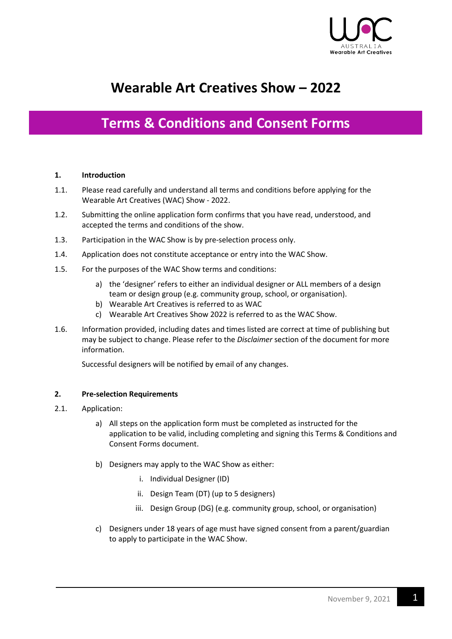

# **Wearable Art Creatives Show – 2022**

## **Terms & Conditions and Consent Forms**

#### **1. Introduction**

- 1.1. Please read carefully and understand all terms and conditions before applying for the Wearable Art Creatives (WAC) Show - 2022.
- 1.2. Submitting the online application form confirms that you have read, understood, and accepted the terms and conditions of the show.
- 1.3. Participation in the WAC Show is by pre-selection process only.
- 1.4. Application does not constitute acceptance or entry into the WAC Show.
- 1.5. For the purposes of the WAC Show terms and conditions:
	- a) the 'designer' refers to either an individual designer or ALL members of a design team or design group (e.g. community group, school, or organisation).
	- b) Wearable Art Creatives is referred to as WAC
	- c) Wearable Art Creatives Show 2022 is referred to as the WAC Show.
- 1.6. Information provided, including dates and times listed are correct at time of publishing but may be subject to change. Please refer to the *Disclaimer* section of the document for more information.

Successful designers will be notified by email of any changes.

#### **2. Pre-selection Requirements**

- 2.1. Application:
	- a) All steps on the application form must be completed as instructed for the application to be valid, including completing and signing this Terms & Conditions and Consent Forms document.
	- b) Designers may apply to the WAC Show as either:
		- i. Individual Designer (ID)
		- ii. Design Team (DT) (up to 5 designers)
		- iii. Design Group (DG) (e.g. community group, school, or organisation)
	- c) Designers under 18 years of age must have signed consent from a parent/guardian to apply to participate in the WAC Show.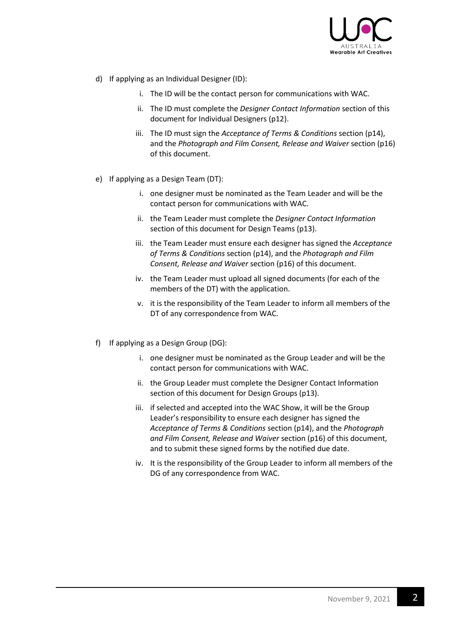

- d) If applying as an Individual Designer (ID):
	- i. The ID will be the contact person for communications with WAC.
	- ii. The ID must complete the *Designer Contact Information* section of this document for Individual Designers (p12).
	- iii. The ID must sign the *Acceptance of Terms & Conditions* section (p14), and the *Photograph and Film Consent, Release and Waiver* section (p16) of this document.
- e) If applying as a Design Team (DT):
	- i. one designer must be nominated as the Team Leader and will be the contact person for communications with WAC.
	- ii. the Team Leader must complete the *Designer Contact Information*  section of this document for Design Teams (p13).
	- iii. the Team Leader must ensure each designer has signed the *Acceptance of Terms & Conditions* section (p14), and the *Photograph and Film Consent, Release and Waiver* section (p16) of this document.
	- iv. the Team Leader must upload all signed documents (for each of the members of the DT) with the application.
	- v. it is the responsibility of the Team Leader to inform all members of the DT of any correspondence from WAC.
- f) If applying as a Design Group (DG):
	- i. one designer must be nominated as the Group Leader and will be the contact person for communications with WAC.
	- ii. the Group Leader must complete the Designer Contact Information section of this document for Design Groups (p13).
	- iii. if selected and accepted into the WAC Show, it will be the Group Leader's responsibility to ensure each designer has signed the *Acceptance of Terms & Conditions* section (p14), and the *Photograph and Film Consent, Release and Waiver* section (p16) of this document, and to submit these signed forms by the notified due date.
	- iv. It is the responsibility of the Group Leader to inform all members of the DG of any correspondence from WAC.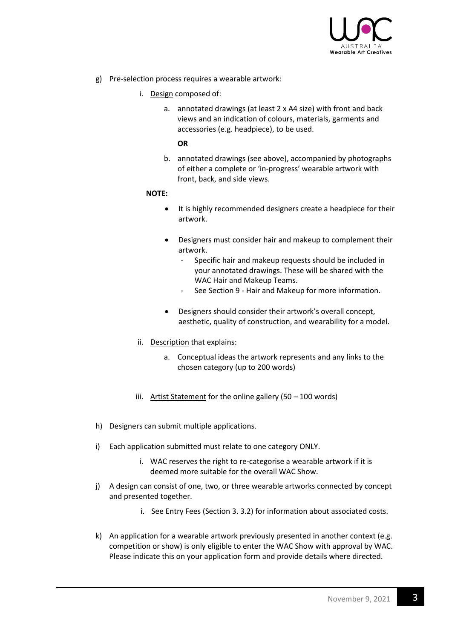

- g) Pre-selection process requires a wearable artwork:
	- i. Design composed of:
		- a. annotated drawings (at least 2 x A4 size) with front and back views and an indication of colours, materials, garments and accessories (e.g. headpiece), to be used.

**OR**

b. annotated drawings (see above), accompanied by photographs of either a complete or 'in-progress' wearable artwork with front, back, and side views.

#### **NOTE:**

- It is highly recommended designers create a headpiece for their artwork.
- Designers must consider hair and makeup to complement their artwork.
	- Specific hair and makeup requests should be included in your annotated drawings. These will be shared with the WAC Hair and Makeup Teams.
	- See Section 9 Hair and Makeup for more information.
- Designers should consider their artwork's overall concept, aesthetic, quality of construction, and wearability for a model.
- ii. Description that explains:
	- a. Conceptual ideas the artwork represents and any links to the chosen category (up to 200 words)
- iii. Artist Statement for the online gallery (50 100 words)
- h) Designers can submit multiple applications.
- i) Each application submitted must relate to one category ONLY.
	- i. WAC reserves the right to re-categorise a wearable artwork if it is deemed more suitable for the overall WAC Show.
- j) A design can consist of one, two, or three wearable artworks connected by concept and presented together.
	- i. See Entry Fees (Section 3. 3.2) for information about associated costs.
- k) An application for a wearable artwork previously presented in another context (e.g. competition or show) is only eligible to enter the WAC Show with approval by WAC. Please indicate this on your application form and provide details where directed.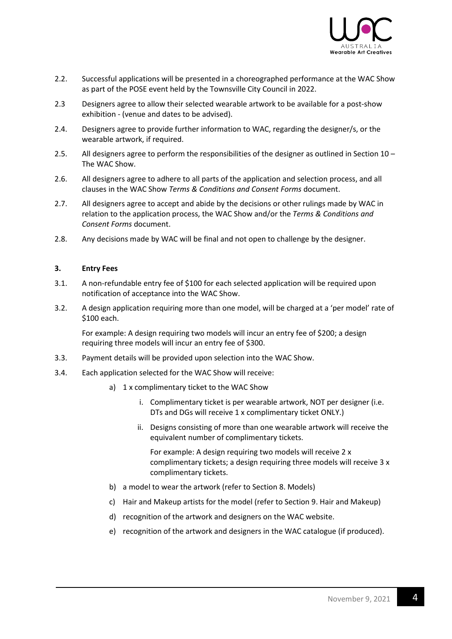

- 2.2. Successful applications will be presented in a choreographed performance at the WAC Show as part of the POSE event held by the Townsville City Council in 2022.
- 2.3 Designers agree to allow their selected wearable artwork to be available for a post-show exhibition - (venue and dates to be advised).
- 2.4. Designers agree to provide further information to WAC, regarding the designer/s, or the wearable artwork, if required.
- 2.5. All designers agree to perform the responsibilities of the designer as outlined in Section 10 The WAC Show.
- 2.6. All designers agree to adhere to all parts of the application and selection process, and all clauses in the WAC Show *Terms & Conditions and Consent Forms* document.
- 2.7. All designers agree to accept and abide by the decisions or other rulings made by WAC in relation to the application process, the WAC Show and/or the *Terms & Conditions and Consent Forms* document.
- 2.8. Any decisions made by WAC will be final and not open to challenge by the designer.

#### **3. Entry Fees**

- 3.1. A non-refundable entry fee of \$100 for each selected application will be required upon notification of acceptance into the WAC Show.
- 3.2. A design application requiring more than one model, will be charged at a 'per model' rate of \$100 each.

For example: A design requiring two models will incur an entry fee of \$200; a design requiring three models will incur an entry fee of \$300.

- 3.3. Payment details will be provided upon selection into the WAC Show.
- 3.4. Each application selected for the WAC Show will receive:
	- a) 1 x complimentary ticket to the WAC Show
		- i. Complimentary ticket is per wearable artwork, NOT per designer (i.e. DTs and DGs will receive 1 x complimentary ticket ONLY.)
		- ii. Designs consisting of more than one wearable artwork will receive the equivalent number of complimentary tickets.

For example: A design requiring two models will receive 2 x complimentary tickets; a design requiring three models will receive 3 x complimentary tickets.

- b) a model to wear the artwork (refer to Section 8. Models)
- c) Hair and Makeup artists for the model (refer to Section 9. Hair and Makeup)
- d) recognition of the artwork and designers on the WAC website.
- e) recognition of the artwork and designers in the WAC catalogue (if produced).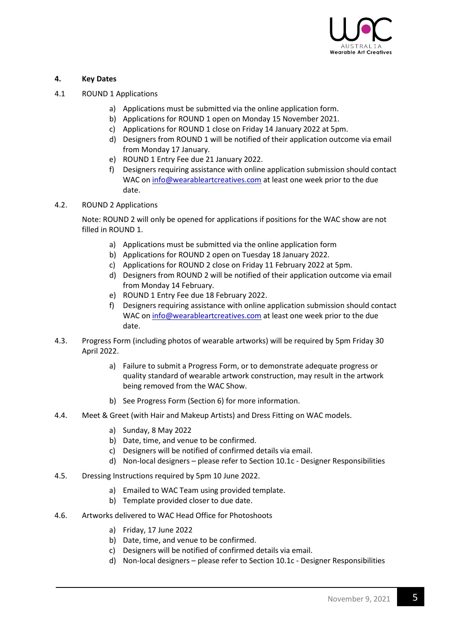

#### **4. Key Dates**

- 4.1 ROUND 1 Applications
	- a) Applications must be submitted via the online application form.
	- b) Applications for ROUND 1 open on Monday 15 November 2021.
	- c) Applications for ROUND 1 close on Friday 14 January 2022 at 5pm.
	- d) Designers from ROUND 1 will be notified of their application outcome via email from Monday 17 January.
	- e) ROUND 1 Entry Fee due 21 January 2022.
	- f) Designers requiring assistance with online application submission should contact WAC o[n info@wearableartcreatives.com](mailto:info@wearableartcreatives.com) at least one week prior to the due date.
- 4.2. ROUND 2 Applications

Note: ROUND 2 will only be opened for applications if positions for the WAC show are not filled in ROUND 1.

- a) Applications must be submitted via the online application form
- b) Applications for ROUND 2 open on Tuesday 18 January 2022.
- c) Applications for ROUND 2 close on Friday 11 February 2022 at 5pm.
- d) Designers from ROUND 2 will be notified of their application outcome via email from Monday 14 February.
- e) ROUND 1 Entry Fee due 18 February 2022.
- f) Designers requiring assistance with online application submission should contact WAC o[n info@wearableartcreatives.com](mailto:info@wearableartcreatives.com) at least one week prior to the due date.
- 4.3. Progress Form (including photos of wearable artworks) will be required by 5pm Friday 30 April 2022.
	- a) Failure to submit a Progress Form, or to demonstrate adequate progress or quality standard of wearable artwork construction, may result in the artwork being removed from the WAC Show.
	- b) See Progress Form (Section 6) for more information.
- 4.4. Meet & Greet (with Hair and Makeup Artists) and Dress Fitting on WAC models.
	- a) Sunday, 8 May 2022
	- b) Date, time, and venue to be confirmed.
	- c) Designers will be notified of confirmed details via email.
	- d) Non-local designers please refer to Section 10.1c Designer Responsibilities
- 4.5. Dressing Instructions required by 5pm 10 June 2022.
	- a) Emailed to WAC Team using provided template.
	- b) Template provided closer to due date.
- 4.6. Artworks delivered to WAC Head Office for Photoshoots
	- a) Friday, 17 June 2022
	- b) Date, time, and venue to be confirmed.
	- c) Designers will be notified of confirmed details via email.
	- d) Non-local designers please refer to Section 10.1c Designer Responsibilities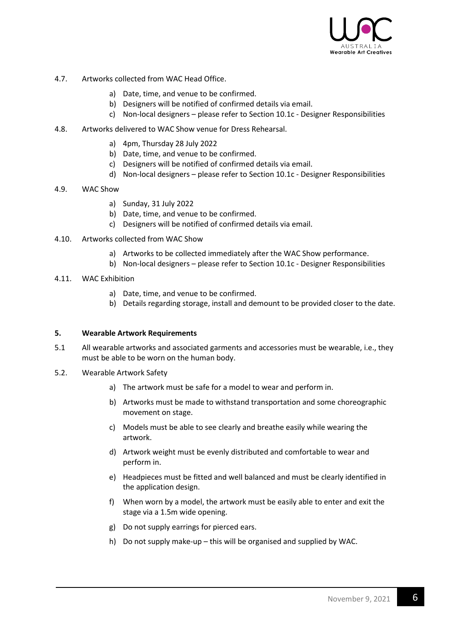

- 4.7. Artworks collected from WAC Head Office.
	- a) Date, time, and venue to be confirmed.
	- b) Designers will be notified of confirmed details via email.
	- c) Non-local designers please refer to Section 10.1c Designer Responsibilities
- 4.8. Artworks delivered to WAC Show venue for Dress Rehearsal.
	- a) 4pm, Thursday 28 July 2022
	- b) Date, time, and venue to be confirmed.
	- c) Designers will be notified of confirmed details via email.
	- d) Non-local designers please refer to Section 10.1c Designer Responsibilities
- 4.9. WAC Show
	- a) Sunday, 31 July 2022
	- b) Date, time, and venue to be confirmed.
	- c) Designers will be notified of confirmed details via email.
- 4.10. Artworks collected from WAC Show
	- a) Artworks to be collected immediately after the WAC Show performance.
	- b) Non-local designers please refer to Section 10.1c Designer Responsibilities
- 4.11. WAC Exhibition
	- a) Date, time, and venue to be confirmed.
	- b) Details regarding storage, install and demount to be provided closer to the date.

#### **5. Wearable Artwork Requirements**

- 5.1 All wearable artworks and associated garments and accessories must be wearable, i.e., they must be able to be worn on the human body.
- 5.2. Wearable Artwork Safety
	- a) The artwork must be safe for a model to wear and perform in.
	- b) Artworks must be made to withstand transportation and some choreographic movement on stage.
	- c) Models must be able to see clearly and breathe easily while wearing the artwork.
	- d) Artwork weight must be evenly distributed and comfortable to wear and perform in.
	- e) Headpieces must be fitted and well balanced and must be clearly identified in the application design.
	- f) When worn by a model, the artwork must be easily able to enter and exit the stage via a 1.5m wide opening.
	- g) Do not supply earrings for pierced ears.
	- h) Do not supply make-up this will be organised and supplied by WAC.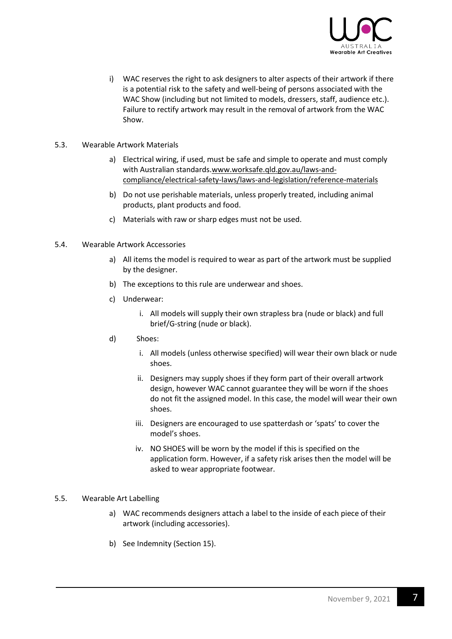

- i) WAC reserves the right to ask designers to alter aspects of their artwork if there is a potential risk to the safety and well-being of persons associated with the WAC Show (including but not limited to models, dressers, staff, audience etc.). Failure to rectify artwork may result in the removal of artwork from the WAC Show.
- 5.3. Wearable Artwork Materials
	- a) Electrical wiring, if used, must be safe and simple to operate and must comply with Australian standards[.www.worksafe.qld.gov.au/laws-and](https://www.worksafe.qld.gov.au/laws-and-compliance/electrical-safety-laws/laws-and-legislation/reference-materials)[compliance/electrical-safety-laws/laws-and-legislation/reference-materials](https://www.worksafe.qld.gov.au/laws-and-compliance/electrical-safety-laws/laws-and-legislation/reference-materials)
	- b) Do not use perishable materials, unless properly treated, including animal products, plant products and food.
	- c) Materials with raw or sharp edges must not be used.
- 5.4. Wearable Artwork Accessories
	- a) All items the model is required to wear as part of the artwork must be supplied by the designer.
	- b) The exceptions to this rule are underwear and shoes.
	- c) Underwear:
		- i. All models will supply their own strapless bra (nude or black) and full brief/G-string (nude or black).
	- d) Shoes:
		- i. All models (unless otherwise specified) will wear their own black or nude shoes.
		- ii. Designers may supply shoes if they form part of their overall artwork design, however WAC cannot guarantee they will be worn if the shoes do not fit the assigned model. In this case, the model will wear their own shoes.
		- iii. Designers are encouraged to use spatterdash or 'spats' to cover the model's shoes.
		- iv. NO SHOES will be worn by the model if this is specified on the application form. However, if a safety risk arises then the model will be asked to wear appropriate footwear.
- 5.5. Wearable Art Labelling
	- a) WAC recommends designers attach a label to the inside of each piece of their artwork (including accessories).
	- b) See Indemnity (Section 15).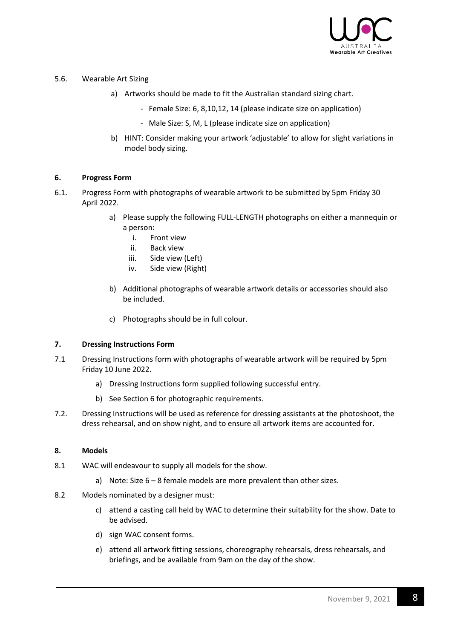

#### 5.6. Wearable Art Sizing

- a) Artworks should be made to fit the Australian standard sizing chart.
	- Female Size: 6, 8,10,12, 14 (please indicate size on application)
	- Male Size: S, M, L (please indicate size on application)
- b) HINT: Consider making your artwork 'adjustable' to allow for slight variations in model body sizing.

#### **6. Progress Form**

- 6.1. Progress Form with photographs of wearable artwork to be submitted by 5pm Friday 30 April 2022.
	- a) Please supply the following FULL-LENGTH photographs on either a mannequin or a person:
		- i. Front view
		- ii. Back view
		- iii. Side view (Left)
		- iv. Side view (Right)
	- b) Additional photographs of wearable artwork details or accessories should also be included.
	- c) Photographs should be in full colour.

#### **7. Dressing Instructions Form**

- 7.1 Dressing Instructions form with photographs of wearable artwork will be required by 5pm Friday 10 June 2022.
	- a) Dressing Instructions form supplied following successful entry.
	- b) See Section 6 for photographic requirements.
- 7.2. Dressing Instructions will be used as reference for dressing assistants at the photoshoot, the dress rehearsal, and on show night, and to ensure all artwork items are accounted for.

#### **8. Models**

- 8.1 WAC will endeavour to supply all models for the show.
	- a) Note: Size 6 8 female models are more prevalent than other sizes.
- 8.2 Models nominated by a designer must:
	- c) attend a casting call held by WAC to determine their suitability for the show. Date to be advised.
	- d) sign WAC consent forms.
	- e) attend all artwork fitting sessions, choreography rehearsals, dress rehearsals, and briefings, and be available from 9am on the day of the show.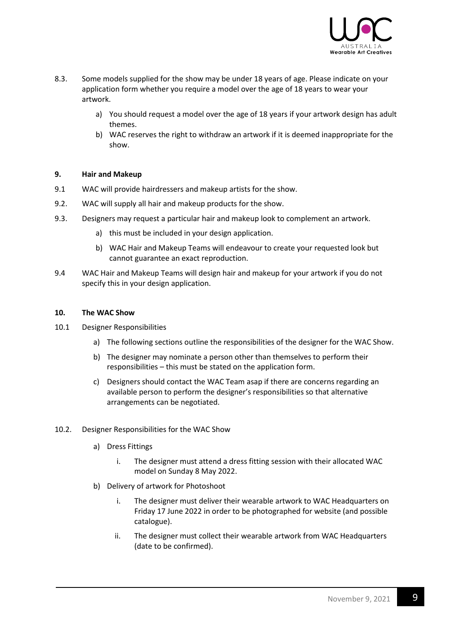

- 8.3. Some models supplied for the show may be under 18 years of age. Please indicate on your application form whether you require a model over the age of 18 years to wear your artwork.
	- a) You should request a model over the age of 18 years if your artwork design has adult themes.
	- b) WAC reserves the right to withdraw an artwork if it is deemed inappropriate for the show.

#### **9. Hair and Makeup**

- 9.1 WAC will provide hairdressers and makeup artists for the show.
- 9.2. WAC will supply all hair and makeup products for the show.
- 9.3. Designers may request a particular hair and makeup look to complement an artwork.
	- a) this must be included in your design application.
	- b) WAC Hair and Makeup Teams will endeavour to create your requested look but cannot guarantee an exact reproduction.
- 9.4 WAC Hair and Makeup Teams will design hair and makeup for your artwork if you do not specify this in your design application.

#### **10. The WAC Show**

- 10.1 Designer Responsibilities
	- a) The following sections outline the responsibilities of the designer for the WAC Show.
	- b) The designer may nominate a person other than themselves to perform their responsibilities – this must be stated on the application form.
	- c) Designers should contact the WAC Team asap if there are concerns regarding an available person to perform the designer's responsibilities so that alternative arrangements can be negotiated.
- 10.2. Designer Responsibilities for the WAC Show
	- a) Dress Fittings
		- i. The designer must attend a dress fitting session with their allocated WAC model on Sunday 8 May 2022.
	- b) Delivery of artwork for Photoshoot
		- i. The designer must deliver their wearable artwork to WAC Headquarters on Friday 17 June 2022 in order to be photographed for website (and possible catalogue).
		- ii. The designer must collect their wearable artwork from WAC Headquarters (date to be confirmed).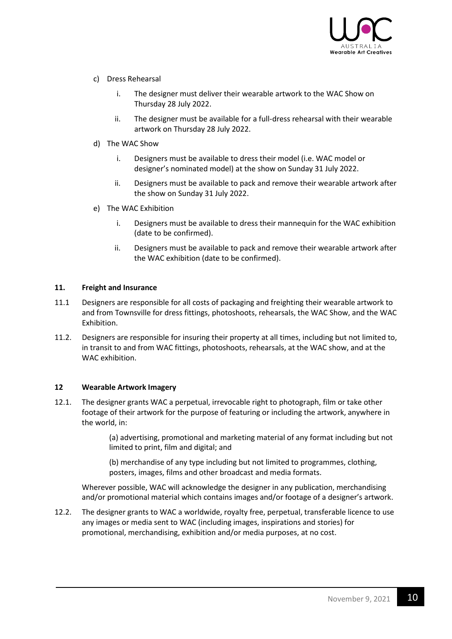

- c) Dress Rehearsal
	- i. The designer must deliver their wearable artwork to the WAC Show on Thursday 28 July 2022.
	- ii. The designer must be available for a full-dress rehearsal with their wearable artwork on Thursday 28 July 2022.
- d) The WAC Show
	- i. Designers must be available to dress their model (i.e. WAC model or designer's nominated model) at the show on Sunday 31 July 2022.
	- ii. Designers must be available to pack and remove their wearable artwork after the show on Sunday 31 July 2022.
- e) The WAC Exhibition
	- i. Designers must be available to dress their mannequin for the WAC exhibition (date to be confirmed).
	- ii. Designers must be available to pack and remove their wearable artwork after the WAC exhibition (date to be confirmed).

#### **11. Freight and Insurance**

- 11.1 Designers are responsible for all costs of packaging and freighting their wearable artwork to and from Townsville for dress fittings, photoshoots, rehearsals, the WAC Show, and the WAC Exhibition.
- 11.2. Designers are responsible for insuring their property at all times, including but not limited to, in transit to and from WAC fittings, photoshoots, rehearsals, at the WAC show, and at the WAC exhibition.

#### **12 Wearable Artwork Imagery**

12.1. The designer grants WAC a perpetual, irrevocable right to photograph, film or take other footage of their artwork for the purpose of featuring or including the artwork, anywhere in the world, in:

> (a) advertising, promotional and marketing material of any format including but not limited to print, film and digital; and

(b) merchandise of any type including but not limited to programmes, clothing, posters, images, films and other broadcast and media formats.

Wherever possible, WAC will acknowledge the designer in any publication, merchandising and/or promotional material which contains images and/or footage of a designer's artwork.

12.2. The designer grants to WAC a worldwide, royalty free, perpetual, transferable licence to use any images or media sent to WAC (including images, inspirations and stories) for promotional, merchandising, exhibition and/or media purposes, at no cost.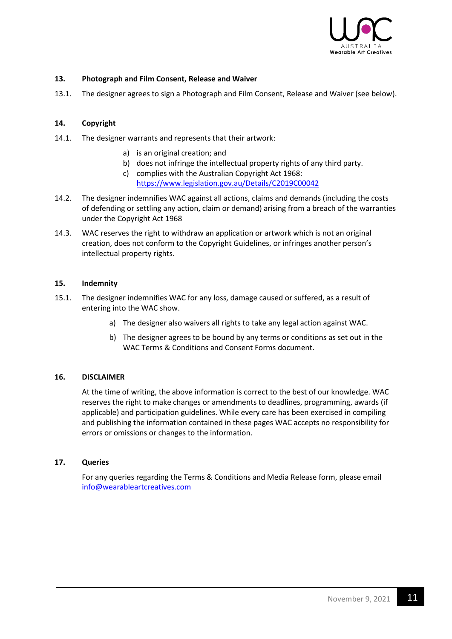

#### **13. Photograph and Film Consent, Release and Waiver**

13.1. The designer agrees to sign a Photograph and Film Consent, Release and Waiver (see below).

#### **14. Copyright**

- 14.1. The designer warrants and represents that their artwork:
	- a) is an original creation; and
	- b) does not infringe the intellectual property rights of any third party.
	- c) complies with the Australian Copyright Act 1968: <https://www.legislation.gov.au/Details/C2019C00042>
- 14.2. The designer indemnifies WAC against all actions, claims and demands (including the costs of defending or settling any action, claim or demand) arising from a breach of the warranties under the Copyright Act 1968
- 14.3. WAC reserves the right to withdraw an application or artwork which is not an original creation, does not conform to the Copyright Guidelines, or infringes another person's intellectual property rights.

#### **15. Indemnity**

- 15.1. The designer indemnifies WAC for any loss, damage caused or suffered, as a result of entering into the WAC show.
	- a) The designer also waivers all rights to take any legal action against WAC.
	- b) The designer agrees to be bound by any terms or conditions as set out in the WAC Terms & Conditions and Consent Forms document.

#### **16. DISCLAIMER**

At the time of writing, the above information is correct to the best of our knowledge. WAC reserves the right to make changes or amendments to deadlines, programming, awards (if applicable) and participation guidelines. While every care has been exercised in compiling and publishing the information contained in these pages WAC accepts no responsibility for errors or omissions or changes to the information.

#### **17. Queries**

For any queries regarding the Terms & Conditions and Media Release form, please email [info@wearableartcreatives.com](mailto:info@wearableartcreatives.com)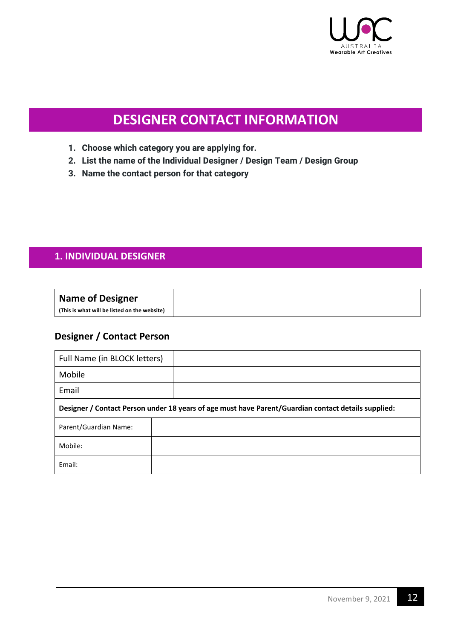

# **DESIGNER CONTACT INFORMATION**

- **1. Choose which category you are applying for.**
- **2. List the name of the Individual Designer / Design Team / Design Group**
- **3. Name the contact person for that category**

### **1. INDIVIDUAL DESIGNER**

### **Designer / Contact Person**

| Full Name (in BLOCK letters) |                                                                                                     |
|------------------------------|-----------------------------------------------------------------------------------------------------|
| Mobile                       |                                                                                                     |
| Email                        |                                                                                                     |
|                              | Designer / Contact Person under 18 years of age must have Parent/Guardian contact details supplied: |
| Parent/Guardian Name:        |                                                                                                     |
| Mobile:                      |                                                                                                     |
| Email:                       |                                                                                                     |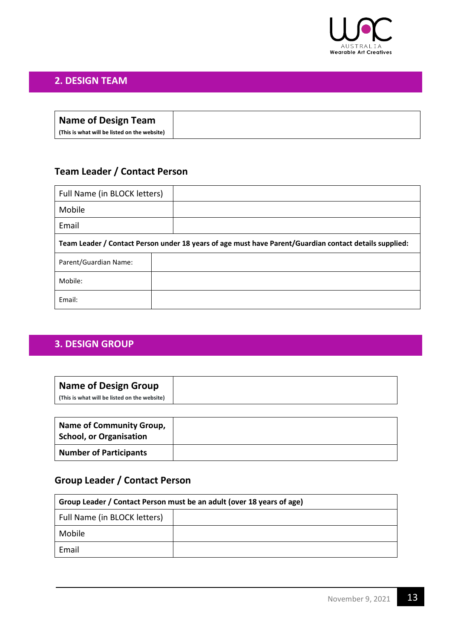

### **2. DESIGN TEAM**

| Name of Design Team                          |
|----------------------------------------------|
| (This is what will be listed on the website) |

### **Team Leader / Contact Person**

| Full Name (in BLOCK letters)                                                                           |  |  |
|--------------------------------------------------------------------------------------------------------|--|--|
| Mobile                                                                                                 |  |  |
| Email                                                                                                  |  |  |
| Team Leader / Contact Person under 18 years of age must have Parent/Guardian contact details supplied: |  |  |
| Parent/Guardian Name:                                                                                  |  |  |
| Mobile:                                                                                                |  |  |
| Email:                                                                                                 |  |  |

### **3. DESIGN GROUP**

| <b>Name of Design Group</b><br>(This is what will be listed on the website) |  |
|-----------------------------------------------------------------------------|--|
| <b>Name of Community Group,</b><br><b>School, or Organisation</b>           |  |

## **Group Leader / Contact Person**

**Number of Participants**

| Group Leader / Contact Person must be an adult (over 18 years of age) |  |  |
|-----------------------------------------------------------------------|--|--|
| Full Name (in BLOCK letters)                                          |  |  |
| Mobile                                                                |  |  |
| Email                                                                 |  |  |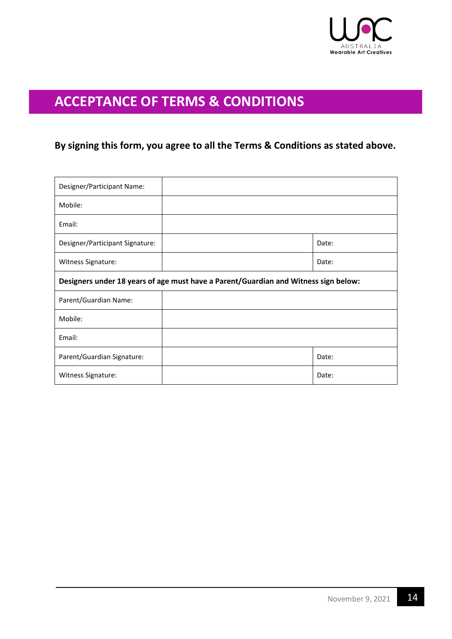

## **ACCEPTANCE OF TERMS & CONDITIONS**

## **By signing this form, you agree to all the Terms & Conditions as stated above.**

| Designer/Participant Name:                                                          |  |       |
|-------------------------------------------------------------------------------------|--|-------|
| Mobile:                                                                             |  |       |
| Email:                                                                              |  |       |
| Designer/Participant Signature:                                                     |  | Date: |
| Witness Signature:                                                                  |  | Date: |
| Designers under 18 years of age must have a Parent/Guardian and Witness sign below: |  |       |
| Parent/Guardian Name:                                                               |  |       |
| Mobile:                                                                             |  |       |
| Email:                                                                              |  |       |
| Parent/Guardian Signature:                                                          |  | Date: |
| Witness Signature:                                                                  |  | Date: |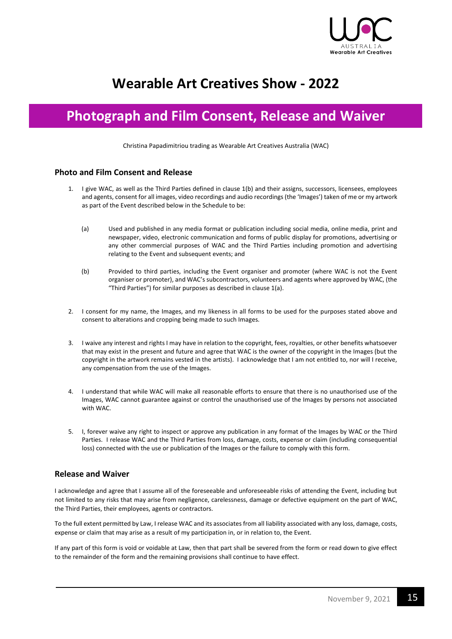

# **Wearable Art Creatives Show - 2022**

## **Photograph and Film Consent, Release and Waiver**

Christina Papadimitriou trading as Wearable Art Creatives Australia (WAC)

#### **Photo and Film Consent and Release**

- 1. I give WAC, as well as the Third Parties defined in clause 1(b) and their assigns, successors, licensees, employees and agents, consent for all images, video recordings and audio recordings (the 'Images') taken of me or my artwork as part of the Event described below in the Schedule to be:
	- (a) Used and published in any media format or publication including social media, online media, print and newspaper, video, electronic communication and forms of public display for promotions, advertising or any other commercial purposes of WAC and the Third Parties including promotion and advertising relating to the Event and subsequent events; and
	- (b) Provided to third parties, including the Event organiser and promoter (where WAC is not the Event organiser or promoter), and WAC's subcontractors, volunteers and agents where approved by WAC, (the "Third Parties") for similar purposes as described in clause 1(a).
- 2. I consent for my name, the Images, and my likeness in all forms to be used for the purposes stated above and consent to alterations and cropping being made to such Images.
- 3. I waive any interest and rights I may have in relation to the copyright, fees, royalties, or other benefits whatsoever that may exist in the present and future and agree that WAC is the owner of the copyright in the Images (but the copyright in the artwork remains vested in the artists). I acknowledge that I am not entitled to, nor will I receive, any compensation from the use of the Images.
- 4. I understand that while WAC will make all reasonable efforts to ensure that there is no unauthorised use of the Images, WAC cannot guarantee against or control the unauthorised use of the Images by persons not associated with WAC.
- 5. I, forever waive any right to inspect or approve any publication in any format of the Images by WAC or the Third Parties. I release WAC and the Third Parties from loss, damage, costs, expense or claim (including consequential loss) connected with the use or publication of the Images or the failure to comply with this form.

#### **Release and Waiver**

I acknowledge and agree that I assume all of the foreseeable and unforeseeable risks of attending the Event, including but not limited to any risks that may arise from negligence, carelessness, damage or defective equipment on the part of WAC, the Third Parties, their employees, agents or contractors.

To the full extent permitted by Law, I release WAC and its associates from all liability associated with any loss, damage, costs, expense or claim that may arise as a result of my participation in, or in relation to, the Event.

If any part of this form is void or voidable at Law, then that part shall be severed from the form or read down to give effect to the remainder of the form and the remaining provisions shall continue to have effect.